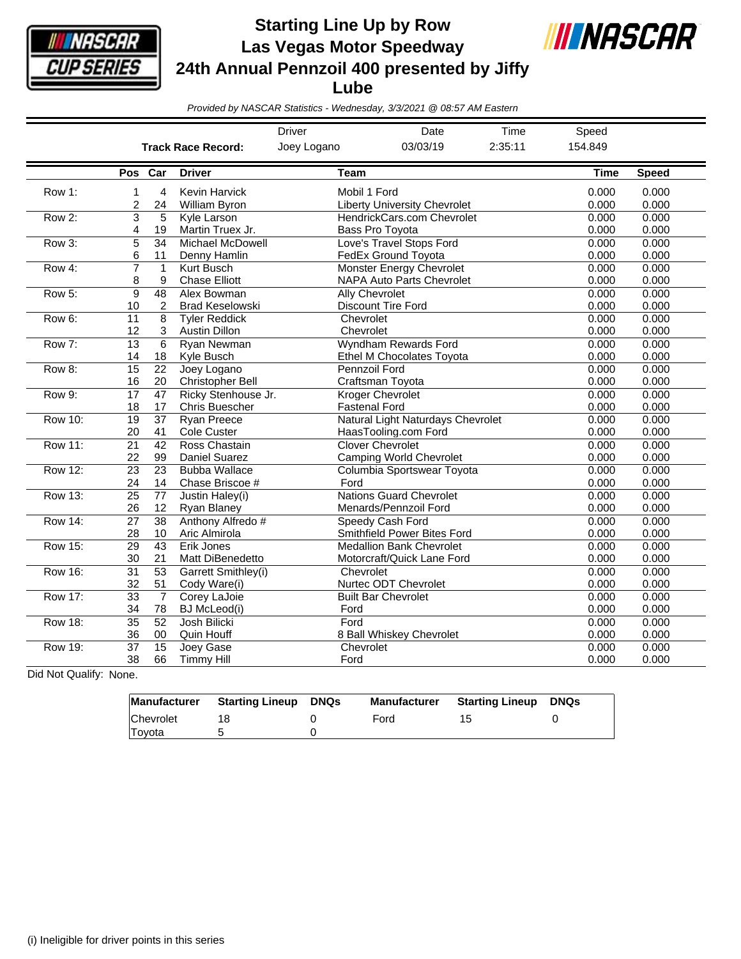

**Starting Line Up by Row Las Vegas Motor Speedway 24th Annual Pennzoil 400 presented by Jiffy Lube**



*Provided by NASCAR Statistics - Wednesday, 3/3/2021 @ 08:57 AM Eastern*

|                |                       |                       |                                              | <b>Driver</b><br>Date<br>Time                                   |                                                                     |                | Speed          |                |
|----------------|-----------------------|-----------------------|----------------------------------------------|-----------------------------------------------------------------|---------------------------------------------------------------------|----------------|----------------|----------------|
|                |                       |                       | <b>Track Race Record:</b>                    | Joey Logano<br>03/03/19                                         |                                                                     | 2:35:11        | 154.849        |                |
|                | Pos Car               |                       | <b>Driver</b>                                | <b>Team</b>                                                     |                                                                     |                | <b>Time</b>    | <b>Speed</b>   |
| Row 1:         | 1<br>2                | 4<br>24               | <b>Kevin Harvick</b><br>William Byron        | Mobil 1 Ford                                                    | <b>Liberty University Chevrolet</b>                                 | 0.000<br>0.000 | 0.000<br>0.000 |                |
| Row 2:         | 3<br>4                | 5<br>19               | Kyle Larson<br>Martin Truex Jr.              | HendrickCars.com Chevrolet<br><b>Bass Pro Tovota</b>            | 0.000<br>0.000                                                      | 0.000<br>0.000 |                |                |
| Row 3:         | 5<br>6                | 34<br>11              | Michael McDowell<br>Denny Hamlin             | Love's Travel Stops Ford<br>FedEx Ground Toyota                 | 0.000<br>0.000                                                      | 0.000<br>0.000 |                |                |
| Row 4:         | $\overline{7}$<br>8   | $\mathbf{1}$<br>9     | Kurt Busch<br><b>Chase Elliott</b>           |                                                                 | <b>Monster Energy Chevrolet</b><br><b>NAPA Auto Parts Chevrolet</b> | 0.000<br>0.000 | 0.000<br>0.000 |                |
| Row 5:         | 9<br>10               | 48<br>2               | Alex Bowman<br><b>Brad Keselowski</b>        |                                                                 | Ally Chevrolet<br><b>Discount Tire Ford</b>                         | 0.000<br>0.000 | 0.000<br>0.000 |                |
| Row 6:         | 11<br>12              | 8<br>3                | <b>Tyler Reddick</b><br><b>Austin Dillon</b> | Chevrolet<br>Chevrolet                                          |                                                                     | 0.000<br>0.000 | 0.000<br>0.000 |                |
| Row 7:         | 13<br>14              | 6<br>18               | Ryan Newman<br>Kyle Busch                    | <b>Wyndham Rewards Ford</b><br><b>Ethel M Chocolates Toyota</b> | 0.000<br>0.000                                                      | 0.000<br>0.000 |                |                |
| Row 8:         | 15<br>16              | 22<br>20              | Joey Logano<br><b>Christopher Bell</b>       |                                                                 | <b>Pennzoil Ford</b><br>Craftsman Toyota                            | 0.000<br>0.000 | 0.000<br>0.000 |                |
| Row 9:         | 17<br>18              | 47<br>17              | Ricky Stenhouse Jr.<br><b>Chris Buescher</b> | <b>Kroger Chevrolet</b><br><b>Fastenal Ford</b>                 | 0.000<br>0.000                                                      | 0.000<br>0.000 |                |                |
| <b>Row 10:</b> | 19<br>20              | $\overline{37}$<br>41 | <b>Ryan Preece</b><br>Cole Custer            | Natural Light Naturdays Chevrolet<br>HaasTooling.com Ford       | 0.000<br>0.000                                                      | 0.000<br>0.000 |                |                |
| <b>Row 11:</b> | 21<br>22              | 42<br>99              | Ross Chastain<br><b>Daniel Suarez</b>        | <b>Clover Chevrolet</b><br><b>Camping World Chevrolet</b>       | 0.000<br>0.000                                                      | 0.000<br>0.000 |                |                |
| <b>Row 12:</b> | $\overline{23}$<br>24 | 23<br>14              | <b>Bubba Wallace</b><br>Chase Briscoe #      | Ford                                                            | Columbia Sportswear Toyota                                          | 0.000<br>0.000 | 0.000<br>0.000 |                |
| <b>Row 13:</b> | 25<br>26              | 77<br>12              | Justin Haley(i)<br>Ryan Blaney               |                                                                 | <b>Nations Guard Chevrolet</b><br>Menards/Pennzoil Ford             | 0.000<br>0.000 | 0.000<br>0.000 |                |
| <b>Row 14:</b> | $\overline{27}$<br>28 | $\overline{38}$<br>10 | Anthony Alfredo #<br>Aric Almirola           |                                                                 | Speedy Cash Ford<br><b>Smithfield Power Bites Ford</b>              | 0.000<br>0.000 | 0.000<br>0.000 |                |
| Row 15:        | 29<br>30              | 43<br>21              | Erik Jones<br>Matt DiBenedetto               |                                                                 | <b>Medallion Bank Chevrolet</b><br>Motorcraft/Quick Lane Ford       | 0.000<br>0.000 | 0.000<br>0.000 |                |
| <b>Row 16:</b> | $\overline{31}$<br>32 | $\overline{53}$<br>51 | Garrett Smithley(i)<br>Cody Ware(i)          | Chevrolet                                                       | Nurtec ODT Chevrolet                                                | 0.000<br>0.000 | 0.000<br>0.000 |                |
| <b>Row 17:</b> | $\overline{33}$<br>34 | $\overline{7}$<br>78  | Corey LaJoie<br>BJ McLeod(i)                 | Ford                                                            | <b>Built Bar Chevrolet</b>                                          |                | 0.000<br>0.000 | 0.000<br>0.000 |
| <b>Row 18:</b> | $\overline{35}$<br>36 | 52<br>00              | Josh Bilicki<br>Quin Houff                   | Ford                                                            | 8 Ball Whiskey Chevrolet                                            |                | 0.000<br>0.000 | 0.000<br>0.000 |
| <b>Row 19:</b> | $\overline{37}$<br>38 | $\overline{15}$<br>66 | Joey Gase<br><b>Timmy Hill</b>               | Chevrolet<br>Ford                                               |                                                                     |                | 0.000<br>0.000 | 0.000<br>0.000 |

Did Not Qualify: None.

| Manufacturer  | Starting Lineup | DNQs | <b>Manufacturer</b> | <b>Starting Lineup DNQs</b> |  |
|---------------|-----------------|------|---------------------|-----------------------------|--|
| Chevrolet     |                 |      | Ford                |                             |  |
| <b>Tovota</b> |                 |      |                     |                             |  |